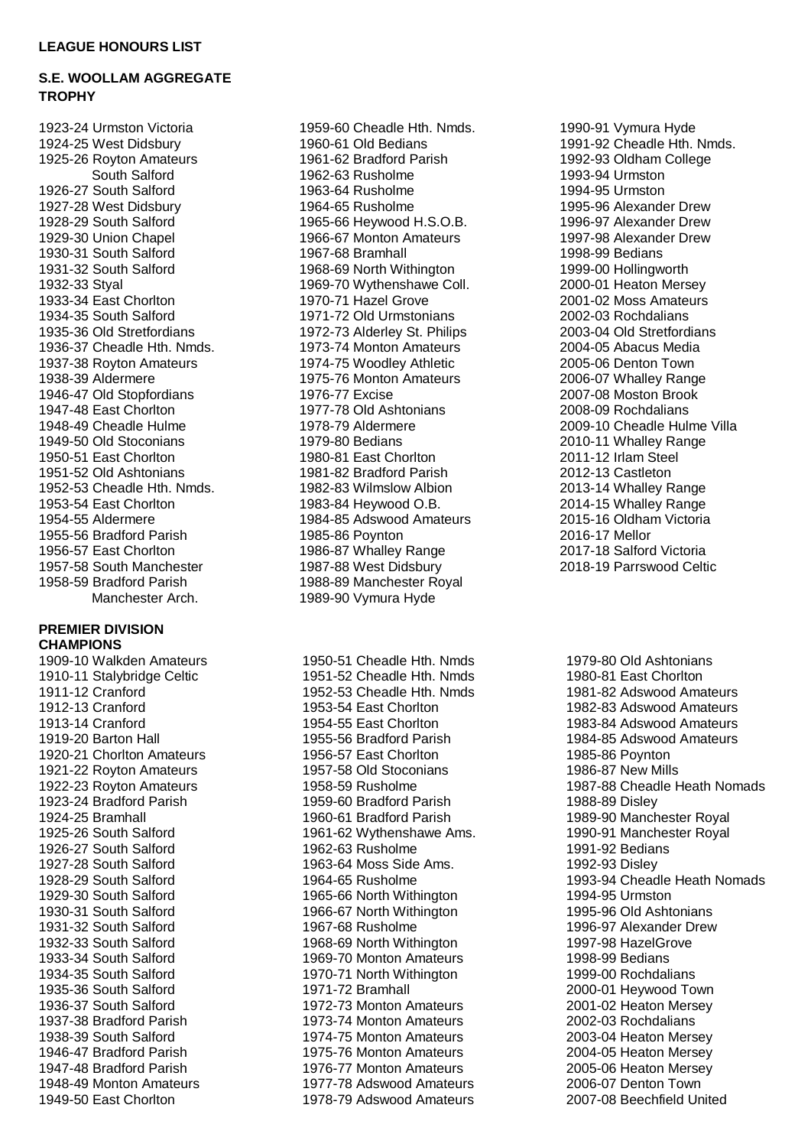## **S.E. WOOLLAM AGGREGATE TROPHY**

1923-24 Urmston Victoria 1924-25 West Didsbury 1925-26 Royton Amateurs South Salford 1926-27 South Salford 1927-28 West Didsbury 1928-29 South Salford 1929-30 Union Chapel 1930-31 South Salford 1931-32 South Salford 1932-33 Styal 1933-34 East Chorlton 1934-35 South Salford 1935-36 Old Stretfordians 1936-37 Cheadle Hth. Nmds. 1937-38 Royton Amateurs 1938-39 Aldermere 1946-47 Old Stopfordians 1947-48 East Chorlton 1948-49 Cheadle Hulme 1949-50 Old Stoconians 1950-51 East Chorlton 1951-52 Old Ashtonians 1952-53 Cheadle Hth. Nmds. 1953-54 East Chorlton 1954-55 Aldermere 1955-56 Bradford Parish 1956-57 East Chorlton 1957-58 South Manchester 1958-59 Bradford Parish Manchester Arch.

## **PREMIER DIVISION CHAMPIONS**

1909-10 Walkden Amateurs 1910-11 Stalybridge Celtic 1911-12 Cranford 1912-13 Cranford 1913-14 Cranford 1919-20 Barton Hall 1920-21 Chorlton Amateurs 1921-22 Royton Amateurs 1922-23 Royton Amateurs 1923-24 Bradford Parish 1924-25 Bramhall 1925-26 South Salford 1926-27 South Salford 1927-28 South Salford 1928-29 South Salford 1929-30 South Salford 1930-31 South Salford 1931-32 South Salford 1932-33 South Salford 1933-34 South Salford 1934-35 South Salford 1935-36 South Salford 1936-37 South Salford 1937-38 Bradford Parish 1938-39 South Salford 1946-47 Bradford Parish 1947-48 Bradford Parish 1948-49 Monton Amateurs 1949-50 East Chorlton

1959-60 Cheadle Hth. Nmds. 1960-61 Old Bedians 1961-62 Bradford Parish 1962-63 Rusholme 1963-64 Rusholme 1964-65 Rusholme 1965-66 Heywood H.S.O.B. 1966-67 Monton Amateurs 1967-68 Bramhall 1968-69 North Withington 1969-70 Wythenshawe Coll. 1970-71 Hazel Grove 1971-72 Old Urmstonians 1972-73 Alderley St. Philips 1973-74 Monton Amateurs 1974-75 Woodley Athletic 1975-76 Monton Amateurs 1976-77 Excise 1977-78 Old Ashtonians 1978-79 Aldermere 1979-80 Bedians 1980-81 East Chorlton 1981-82 Bradford Parish 1982-83 Wilmslow Albion 1983-84 Heywood O.B. 1984-85 Adswood Amateurs 1985-86 Poynton 1986-87 Whalley Range 1987-88 West Didsbury 1988-89 Manchester Royal 1989-90 Vymura Hyde

1950-51 Cheadle Hth. Nmds 1951-52 Cheadle Hth. Nmds 1952-53 Cheadle Hth. Nmds 1953-54 East Chorlton 1954-55 East Chorlton 1955-56 Bradford Parish 1956-57 East Chorlton 1957-58 Old Stoconians 1958-59 Rusholme 1959-60 Bradford Parish 1960-61 Bradford Parish 1961-62 Wythenshawe Ams. 1962-63 Rusholme 1963-64 Moss Side Ams. 1964-65 Rusholme 1965-66 North Withington 1966-67 North Withington 1967-68 Rusholme 1968-69 North Withington 1969-70 Monton Amateurs 1970-71 North Withington 1971-72 Bramhall 1972-73 Monton Amateurs 1973-74 Monton Amateurs 1974-75 Monton Amateurs 1975-76 Monton Amateurs 1976-77 Monton Amateurs 1977-78 Adswood Amateurs 1978-79 Adswood Amateurs

1990-91 Vymura Hyde 1991-92 Cheadle Hth. Nmds. 1992-93 Oldham College 1993-94 Urmston 1994-95 Urmston 1995-96 Alexander Drew 1996-97 Alexander Drew 1997-98 Alexander Drew 1998-99 Bedians 1999-00 Hollingworth 2000-01 Heaton Mersey 2001-02 Moss Amateurs 2002-03 Rochdalians 2003-04 Old Stretfordians 2004-05 Abacus Media 2005-06 Denton Town 2006-07 Whalley Range 2007-08 Moston Brook 2008-09 Rochdalians 2009-10 Cheadle Hulme Villa 2010-11 Whalley Range 2011-12 Irlam Steel 2012-13 Castleton 2013-14 Whalley Range 2014-15 Whalley Range 2015-16 Oldham Victoria 2016-17 Mellor 2017-18 Salford Victoria 2018-19 Parrswood Celtic

1979-80 Old Ashtonians 1980-81 East Chorlton 1981-82 Adswood Amateurs 1982-83 Adswood Amateurs 1983-84 Adswood Amateurs 1984-85 Adswood Amateurs 1985-86 Poynton 1986-87 New Mills 1987-88 Cheadle Heath Nomads 1988-89 Disley 1989-90 Manchester Royal 1990-91 Manchester Royal 1991-92 Bedians 1992-93 Disley 1993-94 Cheadle Heath Nomads 1994-95 Urmston 1995-96 Old Ashtonians 1996-97 Alexander Drew 1997-98 HazelGrove 1998-99 Bedians 1999-00 Rochdalians 2000-01 Heywood Town 2001-02 Heaton Mersey 2002-03 Rochdalians 2003-04 Heaton Mersey 2004-05 Heaton Mersey 2005-06 Heaton Mersey 2006-07 Denton Town 2007-08 Beechfield United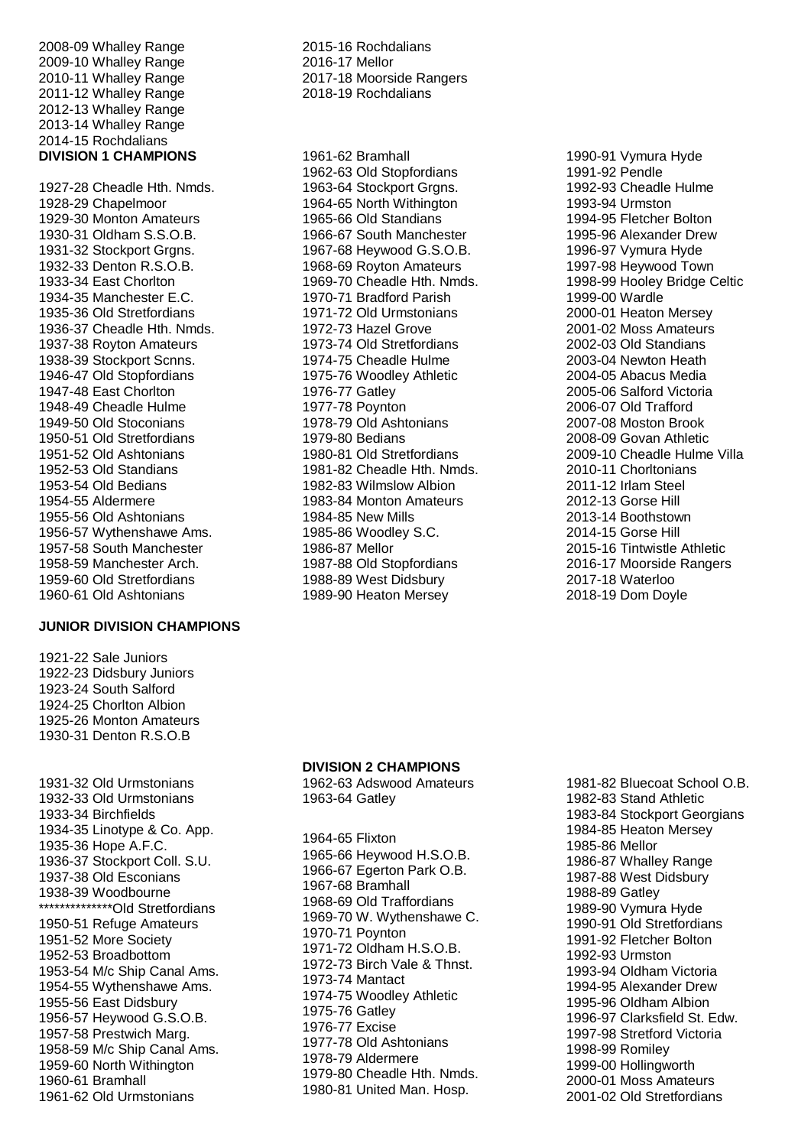-09 Whalley Range -10 Whalley Range -11 Whalley Range -12 Whalley Range - 1 3 Whalley Range - 1 4 Whalley Range -15 Rochdalians **DIVISION 1 CHAMPIONS**

 -28 Cheadle Hth. Nmds. -29 Chapelmoor -30 Monton Amateurs -31 Oldham S.S.O.B. -32 Stockport Grgns. -33 Denton R.S.O.B. -34 East Chorlton -35 Manchester E.C. -36 Old Stretfordians -37 Cheadle Hth. Nmds. -38 Royton Amateurs -39 Stockport Scnns. -47 Old Stopfordians -48 East Chorlton -49 Cheadle Hulme -50 Old Stoconians -51 Old Stretfordians -52 Old Ashtonians -53 Old Standians -54 Old Bedians -55 Aldermere -56 Old Ashtonians -57 Wythenshawe Ams. -58 South Manchester -59 Manchester Arch. -60 Old Stretfordians -61 Old Ashtonians

## **JUNIOR DIVISION CHAMPIONS**

 -22 Sale Juniors -23 Didsbury Juniors -24 South Salford -25 Chorlton Albion -26 Monton Amateurs -31 Denton R.S.O.B

 -32 Old Urmstonians -33 Old Urmstonians -34 Birchfields -35 Linotype & Co. App . -36 Hope A.F.C. -37 Stockport Coll. S.U. -38 Old Esconians -39 Woodbourne \*\*\*\*\*\*\*\*\*\*\*\*\*\*Old Stretfordians -51 Refuge Amateurs -52 More Society -53 Broadbottom -54 M/c Ship Canal Ams. -55 Wythenshawe Ams. -56 East Didsbury -57 Heywood G.S.O.B. -58 Prestwich Marg. -59 M/c Ship Canal Ams. -60 North Withington -61 Bramhall -62 Old Urmstonians

 -16 Rochdalians -17 Mellor 7 - 1 8 Moorside Rangers -19 Rochdalians

 -62 Bramhall -63 Old Stopfordians -64 Stockport Grgns. -65 North Withington -66 Old Standians -67 South Manchester -68 Heywood G.S.O.B. -69 Royton Amateurs -70 Cheadle Hth. Nmds. -71 Bradford Parish -72 Old Urmstonians -73 Hazel Grove -74 Old Stretfordians -75 Cheadle Hulme -76 Woodley Athletic -77 Gatley -78 Poynton -79 Old Ashtonians -80 Bedians -81 Old Stretfordians -82 Cheadle Hth. Nmds. -83 Wilmslow Albion -84 Monton Amateurs -85 New Mills -86 Woodley S.C. -87 Mellor -88 Old Stopfordians -89 West Didsbury -90 Heaton Mersey

 -91 Vymura Hyde -92 Pendle -93 Cheadle Hulme -94 Urmston -95 Fletcher Bolton -96 Alexander Drew -97 Vymura Hyde -98 Heywood Town -99 Hooley Bridge Celtic -00 Wardle -01 Heaton Mersey -02 Moss Amateurs -03 Old Standians -04 Newton Heath -05 Abacus Media -06 Salford Victoria -07 Old Trafford -08 Moston Brook -09 Govan Athletic -10 Cheadle Hulme Villa -11 Chorltonians -12 Irlam Steel -13 Gorse Hill -14 Boothstown -15 Gorse Hill -16 Tintwistle Athletic -17 Moorside Rangers -18 Waterloo

-19 Dom Doyle

#### **DIVISION 2 CHAMPIONS**

 -63 Adswood Amateurs -64 Gatley

 -65 Flixton -66 Heywood H.S.O.B. -67 Egerton Park O.B. -68 Bramhall -69 Old Traffordians -70 W. Wythenshawe C. -71 Poynton -72 Oldham H.S.O.B. -73 Birch Vale & Thnst. -74 Mantact -75 Woodley Athletic -76 Gatley -77 Excise -78 Old Ashtonians -79 Aldermere -80 Cheadle Hth. Nmds. -81 United Man. Hosp.

 -82 Bluecoat School O.B. -83 Stand Athletic -84 Stockport Georgians -85 Heaton Mersey -86 Mellor -87 Whalley Range -88 West Didsbury -89 Gatley -90 Vymura Hyde -91 Old Stretfordians -92 Fletcher Bolton -93 Urmston -94 Oldham Victoria -95 Alexander Drew -96 Oldham Albion -97 Clarksfield St. Edw. -98 Stretford Victoria -99 Romiley -00 Hollingworth -01 Moss Amateurs 1 -02 Old Stretfordians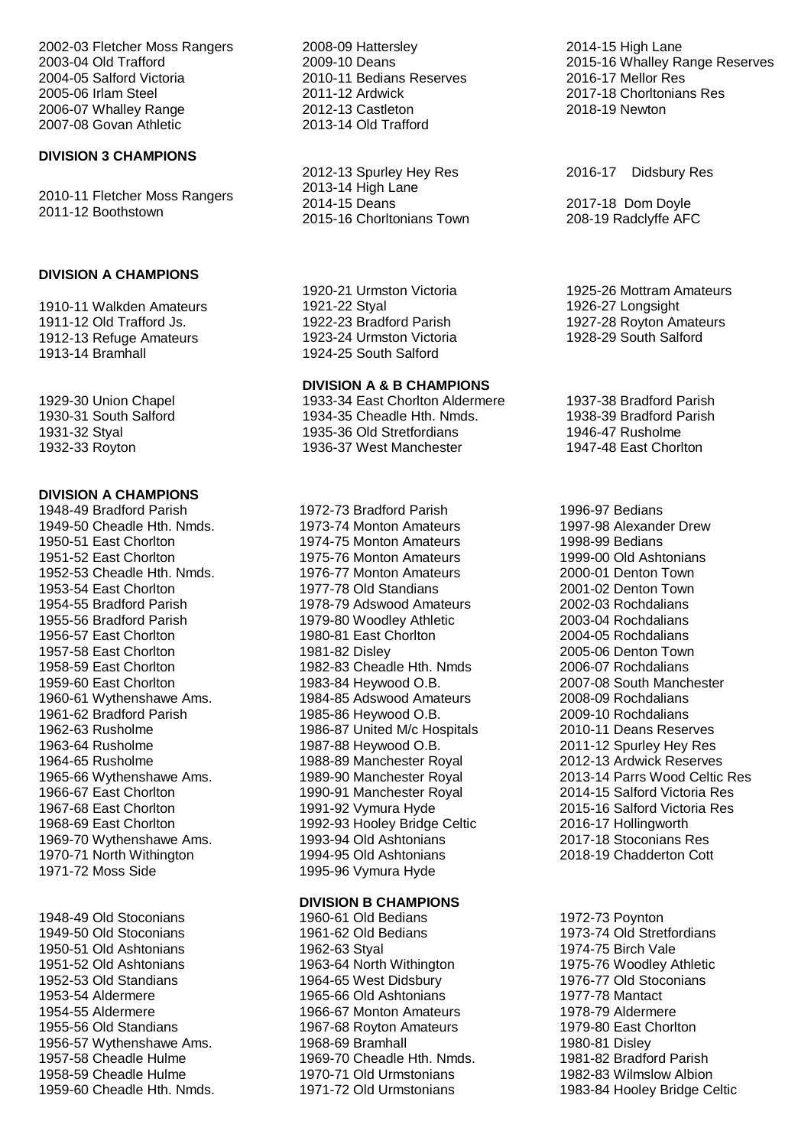2002-03 Fletcher Moss Rangers 2003-04 Old Trafford 2004-05 Salford Victoria 2005-06 Irlam Steel 2006-07 Whalley Range 2007-08 Govan Athletic

## **DIVISION 3 CHAMPIONS**

2010-11 Fletcher Moss Rangers 2011-12 Boothstown

## **DIVISION A CHAMPIONS**

1910-11 Walkden Amateurs 1911-12 Old Trafford Js. 1912-13 Refuge Amateurs 1913-14 Bramhall

1929-30 Union Chapel 1930-31 South Salford 1931-32 Styal 1932-33 Royton

## **DIVISION A CHAMPIONS**

1948-49 Bradford Parish 1949-50 Cheadle Hth. Nmds. 1950-51 East Chorlton 1951-52 East Chorlton 1952-53 Cheadle Hth. Nmds. 1953-54 East Chorlton 1954-55 Bradford Parish 1955-56 Bradford Parish 1956-57 East Chorlton 1957-58 East Chorlton 1958-59 East Chorlton 1959-60 East Chorlton 1960-61 Wythenshawe Ams. 1961-62 Bradford Parish 1962-63 Rusholme 1963-64 Rusholme 1964-65 Rusholme 1965-66 Wythenshawe Ams. 1966-67 East Chorlton 1967-68 East Chorlton 1968-69 East Chorlton 1969-70 Wythenshawe Ams. 1970-71 North Withington 1971-72 Moss Side

1948-49 Old Stoconians 1949-50 Old Stoconians 1950-51 Old Ashtonians 1951-52 Old Ashtonians 1952-53 Old Standians 1953-54 Aldermere 1954-55 Aldermere 1955-56 Old Standians 1956-57 Wythenshawe Ams. 1957-58 Cheadle Hulme 1958-59 Cheadle Hulme 1959-60 Cheadle Hth. Nmds. 2008-09 Hattersley 2009-10 Deans 2010-11 Bedians Reserves 2011-12 Ardwick 2012-13 Castleton 2013-14 Old Trafford

2012-13 Spurley Hey Res 2013-14 High Lane 2014-15 Deans 2015-16 Chorltonians Town

1920-21 Urmston Victoria 1921-22 Styal 1922-23 Bradford Parish 1923-24 Urmston Victoria 1924-25 South Salford

## **DIVISION A & B CHAMPIONS**

1933-34 East Chorlton Aldermere 1934-35 Cheadle Hth. Nmds. 1935-36 Old Stretfordians 1936-37 West Manchester

1972-73 Bradford Parish 1973-74 Monton Amateurs 1974-75 Monton Amateurs 1975-76 Monton Amateurs 1976-77 Monton Amateurs 1977-78 Old Standians 1978-79 Adswood Amateurs 1979-80 Woodley Athletic 1980-81 East Chorlton 1981-82 Disley 1982-83 Cheadle Hth. Nmds 1983-84 Heywood O.B. 1984-85 Adswood Amateurs 1985-86 Heywood O.B. 1986-87 United M/c Hospitals 1987-88 Heywood O.B. 1988-89 Manchester Royal 1989-90 Manchester Royal 1990-91 Manchester Royal 1991-92 Vymura Hyde 1992-93 Hooley Bridge Celtic 1993-94 Old Ashtonians 1994-95 Old Ashtonians 1995-96 Vymura Hyde

## **DIVISION B CHAMPIONS**

1960-61 Old Bedians 1961-62 Old Bedians 1962-63 Styal 1963-64 North Withington 1964-65 West Didsbury 1965-66 Old Ashtonians 1966-67 Monton Amateurs 1967-68 Royton Amateurs 1968-69 Bramhall 1969-70 Cheadle Hth. Nmds. 1970-71 Old Urmstonians 1971-72 Old Urmstonians

2014-15 High Lane 2015-16 Whalley Range Reserves 2016-17 Mellor Res 2017-18 Chorltonians Res 2018-19 Newton

2016-17 Didsbury Res

2017-18 Dom Doyle 208-19 Radclyffe AFC

1925-26 Mottram Amateurs 1926-27 Longsight 1927-28 Royton Amateurs 1928-29 South Salford

1937-38 Bradford Parish 1938-39 Bradford Parish 1946-47 Rusholme 1947-48 East Chorlton

1996-97 Bedians 1997-98 Alexander Drew 1998-99 Bedians 1999-00 Old Ashtonians 2000-01 Denton Town 2001-02 Denton Town 2002-03 Rochdalians 2003-04 Rochdalians 2004-05 Rochdalians 2005-06 Denton Town 2006-07 Rochdalians 2007-08 South Manchester 2008-09 Rochdalians 2009-10 Rochdalians 2010-11 Deans Reserves 2011-12 Spurley Hey Res 2012-13 Ardwick Reserves 2013-14 Parrs Wood Celtic Res 2014-15 Salford Victoria Res 2015-16 Salford Victoria Res 2016-17 Hollingworth 2017-18 Stoconians Res 2018-19 Chadderton Cott

1972-73 Poynton 1973-74 Old Stretfordians 1974-75 Birch Vale 1975-76 Woodley Athletic 1976-77 Old Stoconians 1977-78 Mantact 1978-79 Aldermere 1979-80 East Chorlton 1980-81 Disley 1981-82 Bradford Parish 1982-83 Wilmslow Albion 1983-84 Hooley Bridge Celtic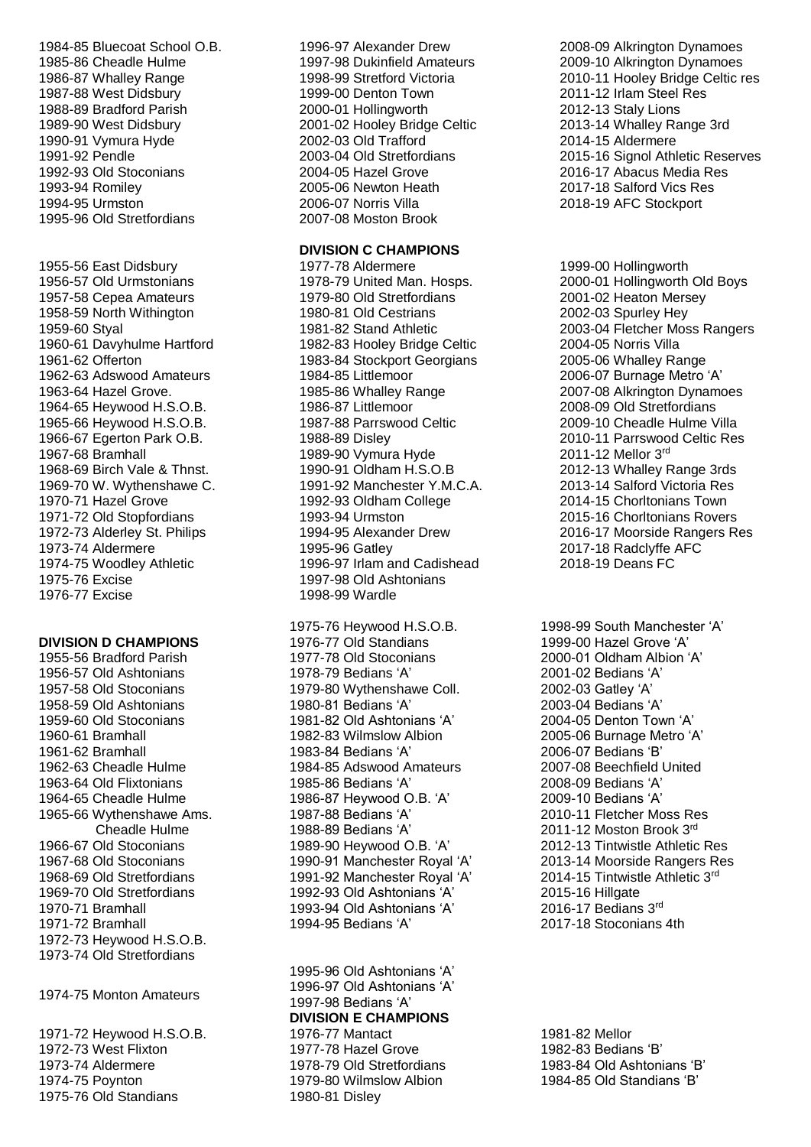- 1984-85 Bluecoat School O.B. 1985-86 Cheadle Hulme 1986-87 Whalley Range 1987-88 West Didsbury 1988-89 Bradford Parish 1989-90 West Didsbury 1990-91 Vymura Hyde 1991-92 Pendle 1992-93 Old Stoconians 1993-94 Romiley 1994-95 Urmston 1995-96 Old Stretfordians
- 1955-56 East Didsbury 1956-57 Old Urmstonians 1957-58 Cepea Amateurs 1958-59 North Withington 1959-60 Styal 1960-61 Davyhulme Hartford 1961-62 Offerton 1962-63 Adswood Amateurs 1963-64 Hazel Grove. 1964-65 Heywood H.S.O.B. 1965-66 Heywood H.S.O.B. 1966-67 Egerton Park O.B. 1967-68 Bramhall 1968-69 Birch Vale & Thnst. 1969-70 W. Wythenshawe C. 1970-71 Hazel Grove 1971-72 Old Stopfordians 1972-73 Alderley St. Philips 1973-74 Aldermere 1974-75 Woodley Athletic 1975-76 Excise 1976-77 Excise

#### **DIVISION D CHAMPIONS**

1955-56 Bradford Parish 1956-57 Old Ashtonians 1957-58 Old Stoconians 1958-59 Old Ashtonians 1959-60 Old Stoconians 1960-61 Bramhall 1961-62 Bramhall 1962-63 Cheadle Hulme 1963-64 Old Flixtonians 1964-65 Cheadle Hulme 1965-66 Wythenshawe Ams. Cheadle Hulme 1966-67 Old Stoconians 1967-68 Old Stoconians 1968-69 Old Stretfordians 1969-70 Old Stretfordians 1970-71 Bramhall 1971-72 Bramhall 1972-73 Heywood H.S.O.B. 1973-74 Old Stretfordians

1974-75 Monton Amateurs

1971-72 Heywood H.S.O.B. 1972-73 West Flixton 1973-74 Aldermere 1974-75 Poynton 1975-76 Old Standians

1996-97 Alexander Drew 1997-98 Dukinfield Amateurs 1998-99 Stretford Victoria 1999-00 Denton Town 2000-01 Hollingworth 2001-02 Hooley Bridge Celtic 2002-03 Old Trafford 2003-04 Old Stretfordians 2004-05 Hazel Grove 2005-06 Newton Heath 2006-07 Norris Villa 2007-08 Moston Brook

## **DIVISION C CHAMPIONS**

1977-78 Aldermere 1978-79 United Man. Hosps. 1979-80 Old Stretfordians 1980-81 Old Cestrians 1981-82 Stand Athletic 1982-83 Hooley Bridge Celtic 1983-84 Stockport Georgians 1984-85 Littlemoor 1985-86 Whalley Range 1986-87 Littlemoor 1987-88 Parrswood Celtic 1988-89 Disley 1989-90 Vymura Hyde 1990-91 Oldham H.S.O.B 1991-92 Manchester Y.M.C.A. 1992-93 Oldham College 1993-94 Urmston 1994-95 Alexander Drew 1995-96 Gatley 1996-97 Irlam and Cadishead 1997-98 Old Ashtonians 1998-99 Wardle

1975-76 Heywood H.S.O.B. 1976-77 Old Standians 1977-78 Old Stoconians 1978-79 Bedians 'A' 1979-80 Wythenshawe Coll. 1980-81 Bedians 'A' 1981-82 Old Ashtonians 'A' 1982-83 Wilmslow Albion 1983-84 Bedians 'A' 1984-85 Adswood Amateurs 1985-86 Bedians 'A' 1986-87 Heywood O.B. 'A' 1987-88 Bedians 'A' 1988-89 Bedians 'A' 1989-90 Heywood O.B. 'A' 1990-91 Manchester Royal 'A' 1991-92 Manchester Royal 'A' 1992-93 Old Ashtonians 'A' 1993-94 Old Ashtonians 'A' 1994-95 Bedians 'A'

1995-96 Old Ashtonians 'A' 1996-97 Old Ashtonians 'A' 1997-98 Bedians 'A' **DIVISION E CHAMPIONS** 1976-77 Mantact 1977-78 Hazel Grove 1978-79 Old Stretfordians 1979-80 Wilmslow Albion 1980-81 Disley

2008-09 Alkrington Dynamoes 2009-10 Alkrington Dynamoes 2010-11 Hooley Bridge Celtic res 2011-12 Irlam Steel Res 2012-13 Staly Lions 2013-14 Whalley Range 3rd 2014-15 Aldermere 2015-16 Signol Athletic Reserves 2016-17 Abacus Media Res 2017-18 Salford Vics Res 2018-19 AFC Stockport

1999-00 Hollingworth 2000-01 Hollingworth Old Boys 2001-02 Heaton Mersey 2002-03 Spurley Hey 2003-04 Fletcher Moss Rangers 2004-05 Norris Villa 2005-06 Whalley Range 2006-07 Burnage Metro 'A' 2007-08 Alkrington Dynamoes 2008-09 Old Stretfordians 2009-10 Cheadle Hulme Villa 2010-11 Parrswood Celtic Res 2011-12 Mellor 3rd 2012-13 Whalley Range 3rds 2013-14 Salford Victoria Res 2014-15 Chorltonians Town 2015-16 Chorltonians Rovers 2016-17 Moorside Rangers Res 2017-18 Radclyffe AFC 2018-19 Deans FC

1998-99 South Manchester 'A' 1999-00 Hazel Grove 'A' 2000-01 Oldham Albion 'A' 2001-02 Bedians 'A' 2002-03 Gatley 'A' 2003-04 Bedians 'A' 2004-05 Denton Town 'A' 2005-06 Burnage Metro 'A' 2006-07 Bedians 'B' 2007-08 Beechfield United 2008-09 Bedians 'A' 2009-10 Bedians 'A' 2010-11 Fletcher Moss Res 2011-12 Moston Brook 3rd 2012-13 Tintwistle Athletic Res 2013-14 Moorside Rangers Res 2014-15 Tintwistle Athletic 3rd 2015-16 Hillgate 2016-17 Bedians 3rd 2017-18 Stoconians 4th

1981-82 Mellor 1982-83 Bedians 'B' 1983-84 Old Ashtonians 'B' 1984-85 Old Standians 'B'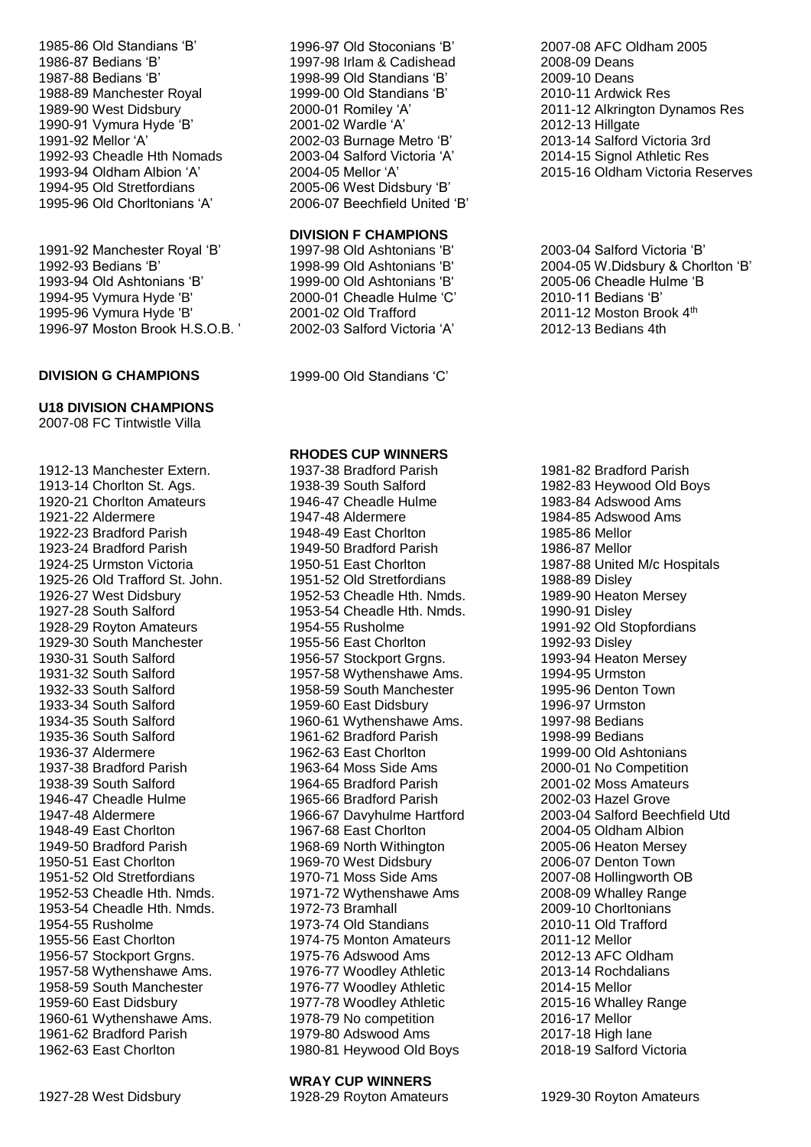1985-86 Old Standians 'B' 1986-87 Bedians 'B' 1987-88 Bedians 'B' 1988-89 Manchester Royal 1989-90 West Didsbury 1990-91 Vymura Hyde 'B' 1991-92 Mellor 'A' 1992-93 Cheadle Hth Nomads 1993-94 Oldham Albion 'A' 1994-95 Old Stretfordians 1995-96 Old Chorltonians 'A'

1991-92 Manchester Royal 'B' 1992-93 Bedians 'B' 1993-94 Old Ashtonians 'B' 1994-95 Vymura Hyde 'B' 1995-96 Vymura Hyde 'B' 1996-97 Moston Brook H.S.O.B. '

#### **DIVISION G CHAMPIONS** 1999-00 Old Standians 'C'

## **U18 DIVISION CHAMPIONS**

2007-08 FC Tintwistle Villa

1912-13 Manchester Extern. 1913-14 Chorlton St. Ags. 1920-21 Chorlton Amateurs 1921-22 Aldermere 1922-23 Bradford Parish 1923-24 Bradford Parish 1924-25 Urmston Victoria 1925-26 Old Trafford St. John. 1926-27 West Didsbury 1927-28 South Salford 1928-29 Royton Amateurs 1929-30 South Manchester 1930-31 South Salford 1931-32 South Salford 1932-33 South Salford 1933-34 South Salford 1934-35 South Salford 1935-36 South Salford 1936-37 Aldermere 1937-38 Bradford Parish 1938-39 South Salford 1946-47 Cheadle Hulme 1947-48 Aldermere 1948-49 East Chorlton 1949-50 Bradford Parish 1950-51 East Chorlton 1951-52 Old Stretfordians 1952-53 Cheadle Hth. Nmds. 1953-54 Cheadle Hth. Nmds. 1954-55 Rusholme 1955-56 East Chorlton 1956-57 Stockport Grgns. 1957-58 Wythenshawe Ams. 1958-59 South Manchester 1959-60 East Didsbury 1960-61 Wythenshawe Ams. 1961-62 Bradford Parish 1962-63 East Chorlton

1996-97 Old Stoconians 'B' 1997-98 Irlam & Cadishead 1998-99 Old Standians 'B' 1999-00 Old Standians 'B' 2000-01 Romiley 'A' 2001-02 Wardle 'A' 2002-03 Burnage Metro 'B' 2003-04 Salford Victoria 'A' 2004-05 Mellor 'A' 2005-06 West Didsbury 'B' 2006-07 Beechfield United 'B'

## **DIVISION F CHAMPIONS**

1997-98 Old Ashtonians 'B' 1998-99 Old Ashtonians 'B' 1999-00 Old Ashtonians 'B' 2000-01 Cheadle Hulme 'C' 2001-02 Old Trafford 2002-03 Salford Victoria 'A'

## **RHODES CUP WINNERS**

1937-38 Bradford Parish 1938-39 South Salford 1946-47 Cheadle Hulme 1947-48 Aldermere 1948-49 East Chorlton 1949-50 Bradford Parish 1950-51 East Chorlton 1951-52 Old Stretfordians 1952-53 Cheadle Hth. Nmds. 1953-54 Cheadle Hth. Nmds. 1954-55 Rusholme 1955-56 East Chorlton 1956-57 Stockport Grgns. 1957-58 Wythenshawe Ams. 1958-59 South Manchester 1959-60 East Didsbury 1960-61 Wythenshawe Ams. 1961-62 Bradford Parish 1962-63 East Chorlton 1963-64 Moss Side Ams 1964-65 Bradford Parish 1965-66 Bradford Parish 1966-67 Davyhulme Hartford 1967-68 East Chorlton 1968-69 North Withington 1969-70 West Didsbury 1970-71 Moss Side Ams 1971-72 Wythenshawe Ams 1972-73 Bramhall 1973-74 Old Standians 1974-75 Monton Amateurs 1975-76 Adswood Ams 1976-77 Woodley Athletic 1976-77 Woodley Athletic 1977-78 Woodley Athletic 1978-79 No competition 1979-80 Adswood Ams 1980-81 Heywood Old Boys

2007-08 AFC Oldham 2005 2008-09 Deans 2009-10 Deans 2010-11 Ardwick Res 2011-12 Alkrington Dynamos Res 2012-13 Hillgate 2013-14 Salford Victoria 3rd 2014-15 Signol Athletic Res 2015-16 Oldham Victoria Reserves

2003-04 Salford Victoria 'B' 2004-05 W.Didsbury & Chorlton 'B' 2005-06 Cheadle Hulme 'B 2010-11 Bedians 'B' 2011-12 Moston Brook 4<sup>th</sup> 2012-13 Bedians 4th

1981-82 Bradford Parish 1982-83 Heywood Old Boys 1983-84 Adswood Ams 1984-85 Adswood Ams 1985-86 Mellor 1986-87 Mellor 1987-88 United M/c Hospitals 1988-89 Disley 1989-90 Heaton Mersey 1990-91 Disley 1991-92 Old Stopfordians 1992-93 Disley 1993-94 Heaton Mersey 1994-95 Urmston 1995-96 Denton Town 1996-97 Urmston 1997-98 Bedians 1998-99 Bedians 1999-00 Old Ashtonians 2000-01 No Competition 2001-02 Moss Amateurs 2002-03 Hazel Grove 2003-04 Salford Beechfield Utd 2004-05 Oldham Albion 2005-06 Heaton Mersey 2006-07 Denton Town 2007-08 Hollingworth OB 2008-09 Whalley Range 2009-10 Chorltonians 2010-11 Old Trafford 2011-12 Mellor 2012-13 AFC Oldham 2013-14 Rochdalians 2014-15 Mellor 2015-16 Whalley Range 2016-17 Mellor 2017-18 High lane 2018-19 Salford Victoria

#### **WRAY CUP WINNERS**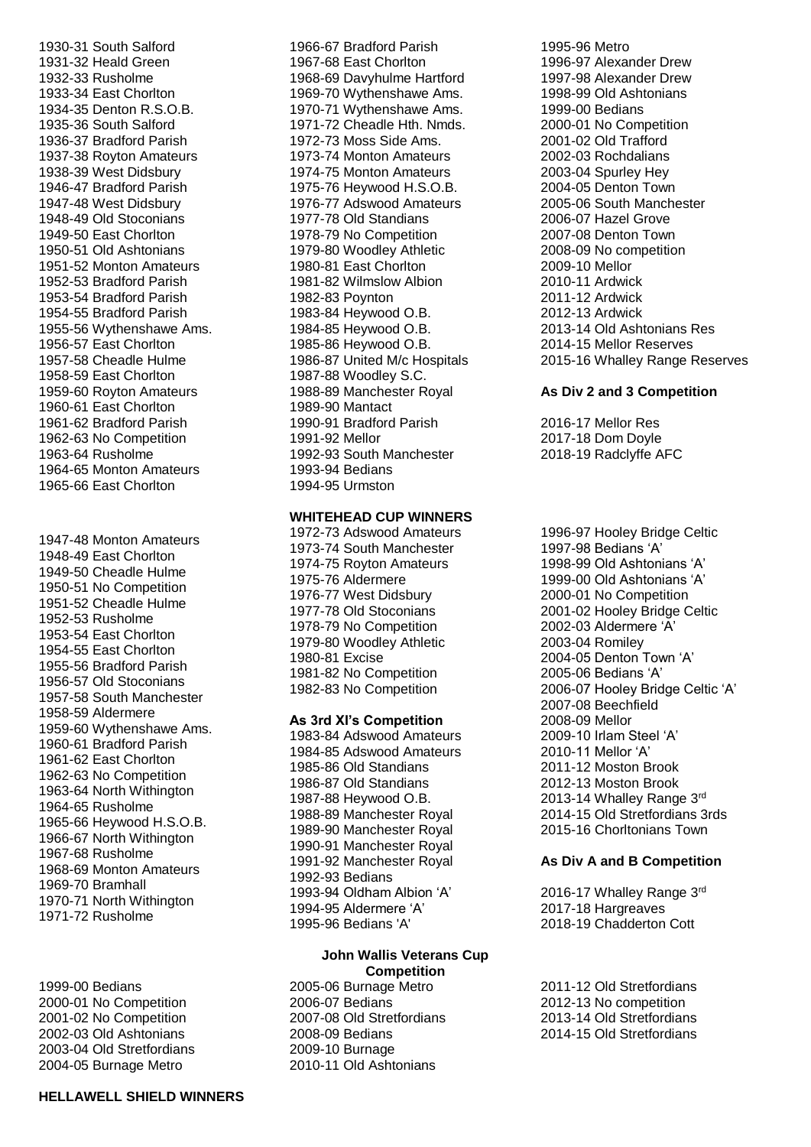1930-31 South Salford 1931-32 Heald Green 1932-33 Rusholme 1933-34 East Chorlton 1934-35 Denton R.S.O.B. 1935-36 South Salford 1936-37 Bradford Parish 1937-38 Royton Amateurs 1938-39 West Didsbury 1946-47 Bradford Parish 1947-48 West Didsbury 1948-49 Old Stoconians 1949-50 East Chorlton 1950-51 Old Ashtonians 1951-52 Monton Amateurs 1952-53 Bradford Parish 1953-54 Bradford Parish 1954-55 Bradford Parish 1955-56 Wythenshawe Ams. 1956-57 East Chorlton 1957-58 Cheadle Hulme 1958-59 East Chorlton 1959-60 Royton Amateurs 1960-61 East Chorlton 1961-62 Bradford Parish 1962-63 No Competition 1963-64 Rusholme 1964-65 Monton Amateurs 1965-66 East Chorlton

1947-48 Monton Amateurs 1948-49 East Chorlton 1949-50 Cheadle Hulme 1950-51 No Competition 1951-52 Cheadle Hulme 1952-53 Rusholme 1953-54 East Chorlton 1954-55 East Chorlton 1955-56 Bradford Parish 1956-57 Old Stoconians 1957-58 South Manchester 1958-59 Aldermere 1959-60 Wythenshawe Ams. 1960-61 Bradford Parish 1961-62 East Chorlton 1962-63 No Competition 1963-64 North Withington 1964-65 Rusholme 1965-66 Heywood H.S.O.B. 1966-67 North Withington 1967-68 Rusholme 1968-69 Monton Amateurs 1969-70 Bramhall 1970-71 North Withington 1971-72 Rusholme

1999-00 Bedians 2000-01 No Competition 2001-02 No Competition 2002-03 Old Ashtonians 2003-04 Old Stretfordians 2004-05 Burnage Metro

1966-67 Bradford Parish 1967-68 East Chorlton 1968-69 Davyhulme Hartford 1969-70 Wythenshawe Ams. 1970-71 Wythenshawe Ams. 1971-72 Cheadle Hth. Nmds. 1972-73 Moss Side Ams. 1973-74 Monton Amateurs 1974-75 Monton Amateurs 1975-76 Heywood H.S.O.B. 1976-77 Adswood Amateurs 1977-78 Old Standians 1978-79 No Competition 1979-80 Woodley Athletic 1980-81 East Chorlton 1981-82 Wilmslow Albion 1982-83 Poynton 1983-84 Heywood O.B. 1984-85 Heywood O.B. 1985-86 Heywood O.B. 1986-87 United M/c Hospitals 1987-88 Woodley S.C. 1988-89 Manchester Royal 1989-90 Mantact 1990-91 Bradford Parish 1991-92 Mellor 1992-93 South Manchester 1993-94 Bedians 1994-95 Urmston

## **WHITEHEAD CUP WINNERS**

1972-73 Adswood Amateurs 1973-74 South Manchester 1974-75 Royton Amateurs 1975-76 Aldermere 1976-77 West Didsbury 1977-78 Old Stoconians 1978-79 No Competition 1979-80 Woodley Athletic 1980-81 Excise 1981-82 No Competition 1982-83 No Competition

#### **As 3rd XI's Competition**

1983-84 Adswood Amateurs 1984-85 Adswood Amateurs 1985-86 Old Standians 1986-87 Old Standians 1987-88 Heywood O.B. 1988-89 Manchester Royal 1989-90 Manchester Royal 1990-91 Manchester Royal 1991-92 Manchester Royal 1992-93 Bedians 1993-94 Oldham Albion 'A' 1994-95 Aldermere 'A' 1995-96 Bedians 'A'

#### **John Wallis Veterans Cup Competition**

2005-06 Burnage Metro 2006-07 Bedians 2007-08 Old Stretfordians 2008-09 Bedians 2009-10 Burnage 2010-11 Old Ashtonians

1995-96 Metro 1996-97 Alexander Drew 1997-98 Alexander Drew 1998-99 Old Ashtonians 1999-00 Bedians 2000-01 No Competition 2001-02 Old Trafford 2002-03 Rochdalians 2003-04 Spurley Hey 2004-05 Denton Town 2005-06 South Manchester 2006-07 Hazel Grove 2007-08 Denton Town 2008-09 No competition 2009-10 Mellor 2010-11 Ardwick 2011-12 Ardwick 2012-13 Ardwick 2013-14 Old Ashtonians Res 2014-15 Mellor Reserves 2015-16 Whalley Range Reserves

#### **As Div 2 and 3 Competition**

2016-17 Mellor Res 2017-18 Dom Doyle 2018-19 Radclyffe AFC

1996-97 Hooley Bridge Celtic 1997-98 Bedians 'A' 1998-99 Old Ashtonians 'A' 1999-00 Old Ashtonians 'A' 2000-01 No Competition 2001-02 Hooley Bridge Celtic 2002-03 Aldermere 'A' 2003-04 Romiley 2004-05 Denton Town 'A' 2005-06 Bedians 'A' 2006-07 Hooley Bridge Celtic 'A' 2007-08 Beechfield 2008-09 Mellor 2009-10 Irlam Steel 'A' 2010-11 Mellor 'A' 2011-12 Moston Brook 2012-13 Moston Brook 2013-14 Whalley Range 3rd 2014-15 Old Stretfordians 3rds 2015-16 Chorltonians Town

#### **As Div A and B Competition**

2016-17 Whalley Range 3rd 2017-18 Hargreaves 2018-19 Chadderton Cott

2011-12 Old Stretfordians 2012-13 No competition 2013-14 Old Stretfordians 2014-15 Old Stretfordians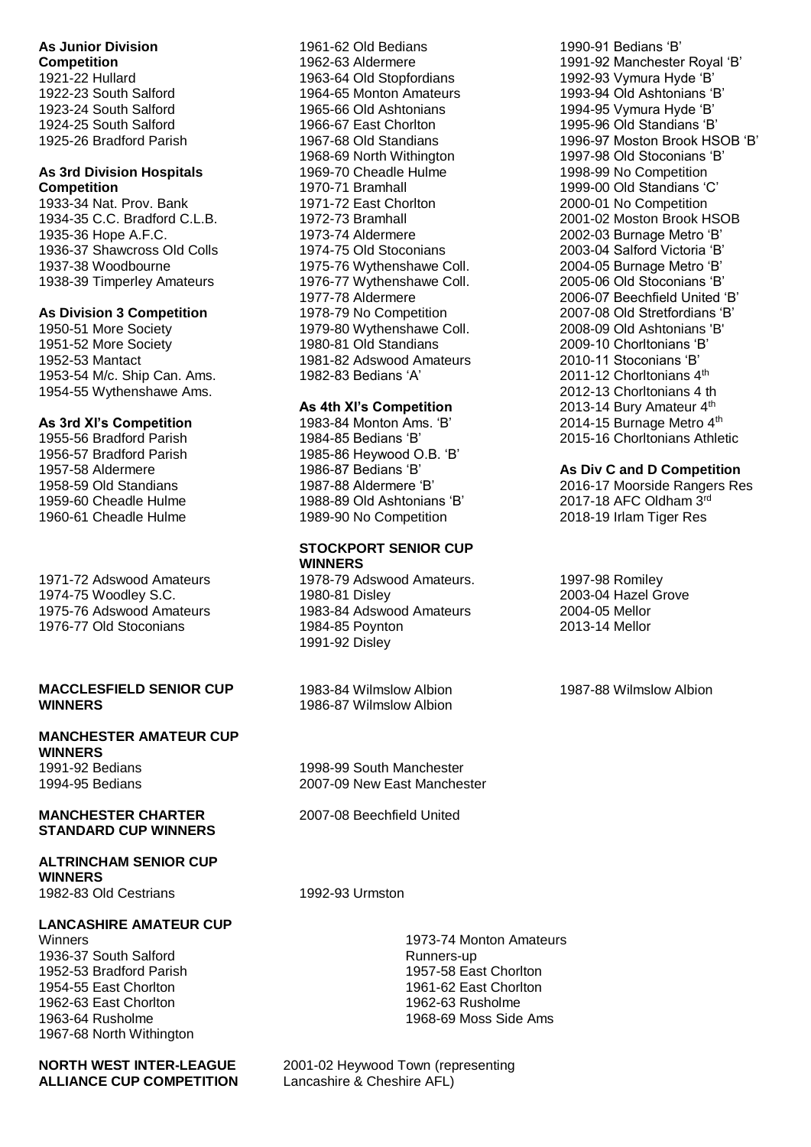## **As Junior Division**

**Competition** 1921-22 Hullard 1922-23 South Salford 1923-24 South Salford 1924-25 South Salford 1925-26 Bradford Parish

#### **As 3rd Division Hospitals Competition**

1933-34 Nat. Prov. Bank 1934-35 C.C. Bradford C.L.B. 1935-36 Hope A.F.C. 1936-37 Shawcross Old Colls 1937-38 Woodbourne 1938-39 Timperley Amateurs

## **As Division 3 Competition**

1950-51 More Society 1951-52 More Society 1952-53 Mantact 1953-54 M/c. Ship Can. Ams. 1954-55 Wythenshawe Ams.

#### **As 3rd XI's Competition**

1955-56 Bradford Parish 1956-57 Bradford Parish 1957-58 Aldermere 1958-59 Old Standians 1959-60 Cheadle Hulme 1960-61 Cheadle Hulme

1971-72 Adswood Amateurs 1974-75 Woodley S.C. 1975-76 Adswood Amateurs 1976-77 Old Stoconians

## **MACCLESFIELD SENIOR CUP WINNERS**

## **MANCHESTER AMATEUR CUP WINNERS**

1991-92 Bedians 1994-95 Bedians

## **MANCHESTER CHARTER STANDARD CUP WINNERS**

## **ALTRINCHAM SENIOR CUP WINNERS**

1982-83 Old Cestrians 1992-93 Urmston

## **LANCASHIRE AMATEUR CUP**

Winners 1936-37 South Salford 1952-53 Bradford Parish 1954-55 East Chorlton 1962-63 East Chorlton 1963-64 Rusholme 1967-68 North Withington

**NORTH WEST INTER-LEAGUE ALLIANCE CUP COMPETITION** 1961-62 Old Bedians 1962-63 Aldermere 1963-64 Old Stopfordians 1964-65 Monton Amateurs 1965-66 Old Ashtonians 1966-67 East Chorlton 1967-68 Old Standians 1968-69 North Withington 1969-70 Cheadle Hulme 1970-71 Bramhall 1971-72 East Chorlton 1972-73 Bramhall 1973-74 Aldermere 1974-75 Old Stoconians 1975-76 Wythenshawe Coll. 1976-77 Wythenshawe Coll. 1977-78 Aldermere 1978-79 No Competition 1979-80 Wythenshawe Coll. 1980-81 Old Standians 1981-82 Adswood Amateurs 1982-83 Bedians 'A'

## **As 4th XI's Competition**

1983-84 Monton Ams. 'B' 1984-85 Bedians 'B' 1985-86 Heywood O.B. 'B' 1986-87 Bedians 'B' 1987-88 Aldermere 'B' 1988-89 Old Ashtonians 'B' 1989-90 No Competition

#### **STOCKPORT SENIOR CUP WINNERS**

1978-79 Adswood Amateurs. 1980-81 Disley 1983-84 Adswood Amateurs 1984-85 Poynton 1991-92 Disley

1983-84 Wilmslow Albion 1986-87 Wilmslow Albion

1998-99 South Manchester 2007-09 New East Manchester

2007-08 Beechfield United

1973-74 Monton Amateurs 1957-58 East Chorlton 1962-63 Rusholme 1968-69 Moss Side Ams

2001-02 Heywood Town (representing Lancashire & Cheshire AFL)

1990-91 Bedians 'B' 1991-92 Manchester Royal 'B' 1992-93 Vymura Hyde 'B' 1993-94 Old Ashtonians 'B' 1994-95 Vymura Hyde 'B' 1995-96 Old Standians 'B' 1996-97 Moston Brook HSOB 'B' 1997-98 Old Stoconians 'B' 1998-99 No Competition 1999-00 Old Standians 'C' 2000-01 No Competition 2001-02 Moston Brook HSOB 2002-03 Burnage Metro 'B' 2003-04 Salford Victoria 'B' 2004-05 Burnage Metro 'B' 2005-06 Old Stoconians 'B' 2006-07 Beechfield United 'B' 2007-08 Old Stretfordians 'B' 2008-09 Old Ashtonians 'B' 2009-10 Chorltonians 'B' 2010-11 Stoconians 'B' 2011-12 Chorltonians 4<sup>th</sup> 2012-13 Chorltonians 4 th 2013-14 Bury Amateur 4<sup>th</sup> 2014-15 Burnage Metro 4th 2015-16 Chorltonians Athletic

## **As Div C and D Competition**

2016-17 Moorside Rangers Res 2017-18 AFC Oldham 3rd 2018-19 Irlam Tiger Res

1997-98 Romiley 2003-04 Hazel Grove 2004-05 Mellor 2013-14 Mellor

1987-88 Wilmslow Albion

Runners-up 1961-62 East Chorlton